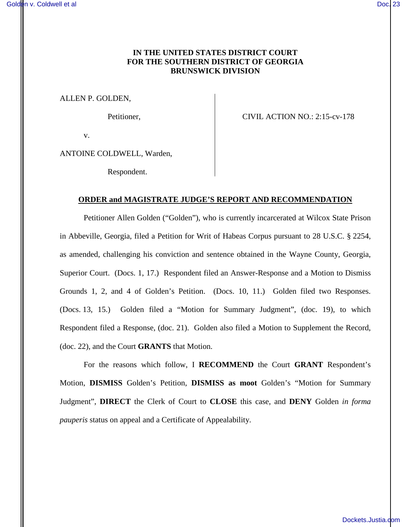# **IN THE UNITED STATES DISTRICT COURT FOR THE SOUTHERN DISTRICT OF GEORGIA BRUNSWICK DIVISION**

ALLEN P. GOLDEN,

Petitioner, CIVIL ACTION NO.: 2:15-cv-178

v.

ANTOINE COLDWELL, Warden,

Respondent.

### **ORDER and MAGISTRATE JUDGE'S REPORT AND RECOMMENDATION**

Petitioner Allen Golden ("Golden"), who is currently incarcerated at Wilcox State Prison in Abbeville, Georgia, filed a Petition for Writ of Habeas Corpus pursuant to 28 U.S.C. § 2254, as amended, challenging his conviction and sentence obtained in the Wayne County, Georgia, Superior Court. (Docs. 1, 17.) Respondent filed an Answer-Response and a Motion to Dismiss Grounds 1, 2, and 4 of Golden's Petition. (Docs. 10, 11.) Golden filed two Responses. (Docs. 13, 15.) Golden filed a "Motion for Summary Judgment", (doc. 19), to which Respondent filed a Response, (doc. 21). Golden also filed a Motion to Supplement the Record, (doc. 22), and the Court **GRANTS** that Motion.

For the reasons which follow, I **RECOMMEND** the Court **GRANT** Respondent's Motion, **DISMISS** Golden's Petition, **DISMISS as moot** Golden's "Motion for Summary Judgment", **DIRECT** the Clerk of Court to **CLOSE** this case, and **DENY** Golden *in forma pauperis* status on appeal and a Certificate of Appealability.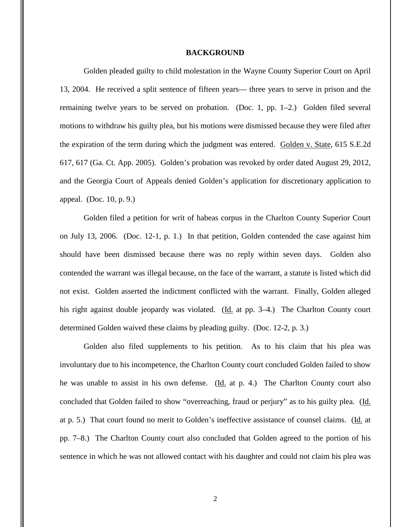#### **BACKGROUND**

 Golden pleaded guilty to child molestation in the Wayne County Superior Court on April 13, 2004. He received a split sentence of fifteen years— three years to serve in prison and the remaining twelve years to be served on probation. (Doc. 1, pp. 1–2.) Golden filed several motions to withdraw his guilty plea, but his motions were dismissed because they were filed after the expiration of the term during which the judgment was entered. Golden v. State, 615 S.E.2d 617, 617 (Ga. Ct. App. 2005). Golden's probation was revoked by order dated August 29, 2012, and the Georgia Court of Appeals denied Golden's application for discretionary application to appeal. (Doc. 10, p. 9.)

Golden filed a petition for writ of habeas corpus in the Charlton County Superior Court on July 13, 2006. (Doc. 12-1, p. 1.) In that petition, Golden contended the case against him should have been dismissed because there was no reply within seven days. Golden also contended the warrant was illegal because, on the face of the warrant, a statute is listed which did not exist. Golden asserted the indictment conflicted with the warrant. Finally, Golden alleged his right against double jeopardy was violated. (Id. at pp. 3–4.) The Charlton County court determined Golden waived these claims by pleading guilty. (Doc. 12-2, p. 3.)

Golden also filed supplements to his petition. As to his claim that his plea was involuntary due to his incompetence, the Charlton County court concluded Golden failed to show he was unable to assist in his own defense. (Id. at p. 4.) The Charlton County court also concluded that Golden failed to show "overreaching, fraud or perjury" as to his guilty plea. (Id. at p. 5.) That court found no merit to Golden's ineffective assistance of counsel claims. (Id. at pp. 7–8.) The Charlton County court also concluded that Golden agreed to the portion of his sentence in which he was not allowed contact with his daughter and could not claim his plea was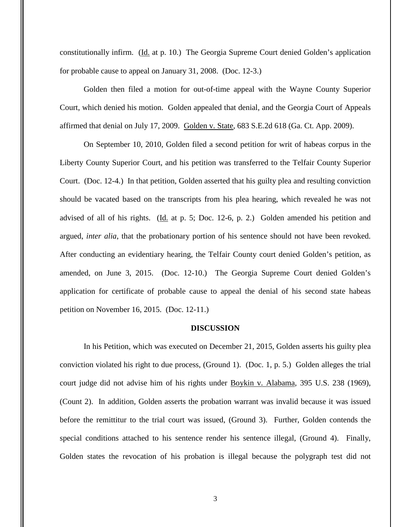constitutionally infirm. (Id. at p. 10.) The Georgia Supreme Court denied Golden's application for probable cause to appeal on January 31, 2008. (Doc. 12-3.)

Golden then filed a motion for out-of-time appeal with the Wayne County Superior Court, which denied his motion. Golden appealed that denial, and the Georgia Court of Appeals affirmed that denial on July 17, 2009. Golden v. State, 683 S.E.2d 618 (Ga. Ct. App. 2009).

On September 10, 2010, Golden filed a second petition for writ of habeas corpus in the Liberty County Superior Court, and his petition was transferred to the Telfair County Superior Court. (Doc. 12-4.) In that petition, Golden asserted that his guilty plea and resulting conviction should be vacated based on the transcripts from his plea hearing, which revealed he was not advised of all of his rights. (Id. at p. 5; Doc. 12-6, p. 2.) Golden amended his petition and argued, *inter alia*, that the probationary portion of his sentence should not have been revoked. After conducting an evidentiary hearing, the Telfair County court denied Golden's petition, as amended, on June 3, 2015. (Doc. 12-10.) The Georgia Supreme Court denied Golden's application for certificate of probable cause to appeal the denial of his second state habeas petition on November 16, 2015. (Doc. 12-11.)

#### **DISCUSSION**

In his Petition, which was executed on December 21, 2015, Golden asserts his guilty plea conviction violated his right to due process, (Ground 1). (Doc. 1, p. 5.) Golden alleges the trial court judge did not advise him of his rights under Boykin v. Alabama, 395 U.S. 238 (1969), (Count 2). In addition, Golden asserts the probation warrant was invalid because it was issued before the remittitur to the trial court was issued, (Ground 3). Further, Golden contends the special conditions attached to his sentence render his sentence illegal, (Ground 4). Finally, Golden states the revocation of his probation is illegal because the polygraph test did not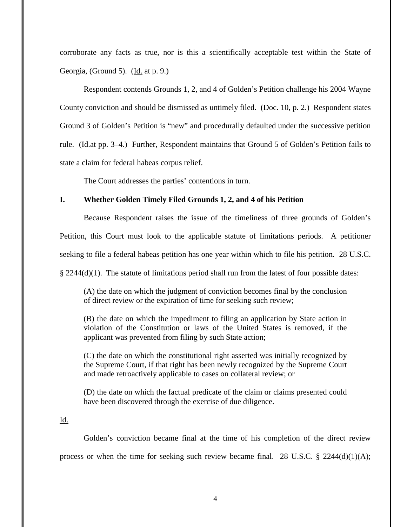corroborate any facts as true, nor is this a scientifically acceptable test within the State of Georgia, (Ground 5). (Id. at p. 9.)

Respondent contends Grounds 1, 2, and 4 of Golden's Petition challenge his 2004 Wayne County conviction and should be dismissed as untimely filed. (Doc. 10, p. 2.) Respondent states Ground 3 of Golden's Petition is "new" and procedurally defaulted under the successive petition rule. (Id.at pp. 3–4.) Further, Respondent maintains that Ground 5 of Golden's Petition fails to state a claim for federal habeas corpus relief.

The Court addresses the parties' contentions in turn.

## **I. Whether Golden Timely Filed Grounds 1, 2, and 4 of his Petition**

Because Respondent raises the issue of the timeliness of three grounds of Golden's Petition, this Court must look to the applicable statute of limitations periods. A petitioner seeking to file a federal habeas petition has one year within which to file his petition. 28 U.S.C.

§ 2244(d)(1). The statute of limitations period shall run from the latest of four possible dates:

(A) the date on which the judgment of conviction becomes final by the conclusion of direct review or the expiration of time for seeking such review;

(B) the date on which the impediment to filing an application by State action in violation of the Constitution or laws of the United States is removed, if the applicant was prevented from filing by such State action;

(C) the date on which the constitutional right asserted was initially recognized by the Supreme Court, if that right has been newly recognized by the Supreme Court and made retroactively applicable to cases on collateral review; or

(D) the date on which the factual predicate of the claim or claims presented could have been discovered through the exercise of due diligence.

### Id.

Golden's conviction became final at the time of his completion of the direct review process or when the time for seeking such review became final. 28 U.S.C.  $\S$  2244(d)(1)(A);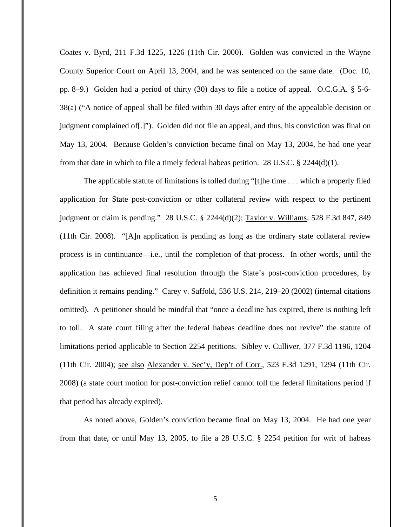Coates v. Byrd, 211 F.3d 1225, 1226 (11th Cir. 2000). Golden was convicted in the Wayne County Superior Court on April 13, 2004, and he was sentenced on the same date. (Doc. 10, pp. 8–9.) Golden had a period of thirty (30) days to file a notice of appeal. O.C.G.A. § 5-6- 38(a) ("A notice of appeal shall be filed within 30 days after entry of the appealable decision or judgment complained of[.]"). Golden did not file an appeal, and thus, his conviction was final on May 13, 2004. Because Golden's conviction became final on May 13, 2004, he had one year from that date in which to file a timely federal habeas petition. 28 U.S.C.  $\S$  2244(d)(1).

The applicable statute of limitations is tolled during "[t]he time . . . which a properly filed application for State post-conviction or other collateral review with respect to the pertinent judgment or claim is pending." 28 U.S.C. § 2244(d)(2); Taylor v. Williams, 528 F.3d 847, 849 (11th Cir. 2008). "[A]n application is pending as long as the ordinary state collateral review process is in continuance—i.e., until the completion of that process. In other words, until the application has achieved final resolution through the State's post-conviction procedures, by definition it remains pending." Carey v. Saffold, 536 U.S. 214, 219–20 (2002) (internal citations omitted). A petitioner should be mindful that "once a deadline has expired, there is nothing left to toll. A state court filing after the federal habeas deadline does not revive" the statute of limitations period applicable to Section 2254 petitions. Sibley v. Culliver, 377 F.3d 1196, 1204 (11th Cir. 2004); see also Alexander v. Sec'y, Dep't of Corr., 523 F.3d 1291, 1294 (11th Cir. 2008) (a state court motion for post-conviction relief cannot toll the federal limitations period if that period has already expired).

As noted above, Golden's conviction became final on May 13, 2004. He had one year from that date, or until May 13, 2005, to file a 28 U.S.C. § 2254 petition for writ of habeas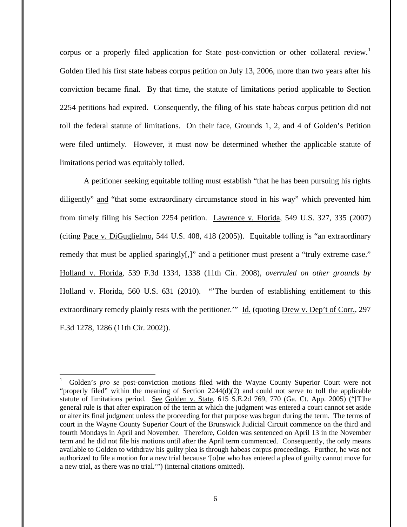corpus or a properly filed application for State post-conviction or other collateral review.<sup>1</sup> Golden filed his first state habeas corpus petition on July 13, 2006, more than two years after his conviction became final. By that time, the statute of limitations period applicable to Section 2254 petitions had expired. Consequently, the filing of his state habeas corpus petition did not toll the federal statute of limitations. On their face, Grounds 1, 2, and 4 of Golden's Petition were filed untimely. However, it must now be determined whether the applicable statute of limitations period was equitably tolled.

A petitioner seeking equitable tolling must establish "that he has been pursuing his rights diligently" and "that some extraordinary circumstance stood in his way" which prevented him from timely filing his Section 2254 petition. Lawrence v. Florida, 549 U.S. 327, 335 (2007) (citing Pace v. DiGuglielmo, 544 U.S. 408, 418 (2005)). Equitable tolling is "an extraordinary remedy that must be applied sparingly[,]" and a petitioner must present a "truly extreme case." Holland v. Florida, 539 F.3d 1334, 1338 (11th Cir. 2008), *overruled on other grounds by* Holland v. Florida, 560 U.S. 631 (2010). "'The burden of establishing entitlement to this extraordinary remedy plainly rests with the petitioner." Id. (quoting Drew v. Dep't of Corr., 297 F.3d 1278, 1286 (11th Cir. 2002)).

 $\overline{a}$ 

<sup>1</sup> Golden's *pro se* post-conviction motions filed with the Wayne County Superior Court were not "properly filed" within the meaning of Section  $2244(d)(2)$  and could not serve to toll the applicable statute of limitations period. See Golden v. State, 615 S.E.2d 769, 770 (Ga. Ct. App. 2005) ("[T]he general rule is that after expiration of the term at which the judgment was entered a court cannot set aside or alter its final judgment unless the proceeding for that purpose was begun during the term. The terms of court in the Wayne County Superior Court of the Brunswick Judicial Circuit commence on the third and fourth Mondays in April and November. Therefore, Golden was sentenced on April 13 in the November term and he did not file his motions until after the April term commenced. Consequently, the only means available to Golden to withdraw his guilty plea is through habeas corpus proceedings. Further, he was not authorized to file a motion for a new trial because '[o]ne who has entered a plea of guilty cannot move for a new trial, as there was no trial.'") (internal citations omitted).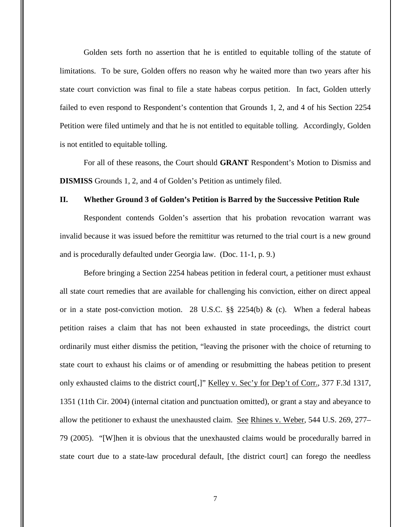Golden sets forth no assertion that he is entitled to equitable tolling of the statute of limitations. To be sure, Golden offers no reason why he waited more than two years after his state court conviction was final to file a state habeas corpus petition. In fact, Golden utterly failed to even respond to Respondent's contention that Grounds 1, 2, and 4 of his Section 2254 Petition were filed untimely and that he is not entitled to equitable tolling. Accordingly, Golden is not entitled to equitable tolling.

For all of these reasons, the Court should **GRANT** Respondent's Motion to Dismiss and **DISMISS** Grounds 1, 2, and 4 of Golden's Petition as untimely filed.

#### **II. Whether Ground 3 of Golden's Petition is Barred by the Successive Petition Rule**

Respondent contends Golden's assertion that his probation revocation warrant was invalid because it was issued before the remittitur was returned to the trial court is a new ground and is procedurally defaulted under Georgia law. (Doc. 11-1, p. 9.)

Before bringing a Section 2254 habeas petition in federal court, a petitioner must exhaust all state court remedies that are available for challenging his conviction, either on direct appeal or in a state post-conviction motion. 28 U.S.C.  $\S$  2254(b) & (c). When a federal habeas petition raises a claim that has not been exhausted in state proceedings, the district court ordinarily must either dismiss the petition, "leaving the prisoner with the choice of returning to state court to exhaust his claims or of amending or resubmitting the habeas petition to present only exhausted claims to the district court[,]" Kelley v. Sec'y for Dep't of Corr., 377 F.3d 1317, 1351 (11th Cir. 2004) (internal citation and punctuation omitted), or grant a stay and abeyance to allow the petitioner to exhaust the unexhausted claim. See Rhines v. Weber, 544 U.S. 269, 277– 79 (2005). "[W]hen it is obvious that the unexhausted claims would be procedurally barred in state court due to a state-law procedural default, [the district court] can forego the needless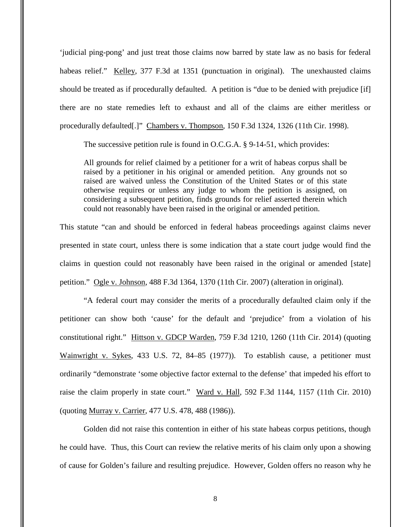'judicial ping-pong' and just treat those claims now barred by state law as no basis for federal habeas relief." Kelley, 377 F.3d at 1351 (punctuation in original). The unexhausted claims should be treated as if procedurally defaulted. A petition is "due to be denied with prejudice [if] there are no state remedies left to exhaust and all of the claims are either meritless or procedurally defaulted[.]" Chambers v. Thompson, 150 F.3d 1324, 1326 (11th Cir. 1998).

The successive petition rule is found in O.C.G.A. § 9-14-51, which provides:

All grounds for relief claimed by a petitioner for a writ of habeas corpus shall be raised by a petitioner in his original or amended petition. Any grounds not so raised are waived unless the Constitution of the United States or of this state otherwise requires or unless any judge to whom the petition is assigned, on considering a subsequent petition, finds grounds for relief asserted therein which could not reasonably have been raised in the original or amended petition.

This statute "can and should be enforced in federal habeas proceedings against claims never presented in state court, unless there is some indication that a state court judge would find the claims in question could not reasonably have been raised in the original or amended [state] petition." Ogle v. Johnson, 488 F.3d 1364, 1370 (11th Cir. 2007) (alteration in original).

"A federal court may consider the merits of a procedurally defaulted claim only if the petitioner can show both 'cause' for the default and 'prejudice' from a violation of his constitutional right." Hittson v. GDCP Warden, 759 F.3d 1210, 1260 (11th Cir. 2014) (quoting Wainwright v. Sykes, 433 U.S. 72, 84–85 (1977)). To establish cause, a petitioner must ordinarily "demonstrate 'some objective factor external to the defense' that impeded his effort to raise the claim properly in state court." Ward v. Hall, 592 F.3d 1144, 1157 (11th Cir. 2010) (quoting Murray v. Carrier, 477 U.S. 478, 488 (1986)).

Golden did not raise this contention in either of his state habeas corpus petitions, though he could have. Thus, this Court can review the relative merits of his claim only upon a showing of cause for Golden's failure and resulting prejudice. However, Golden offers no reason why he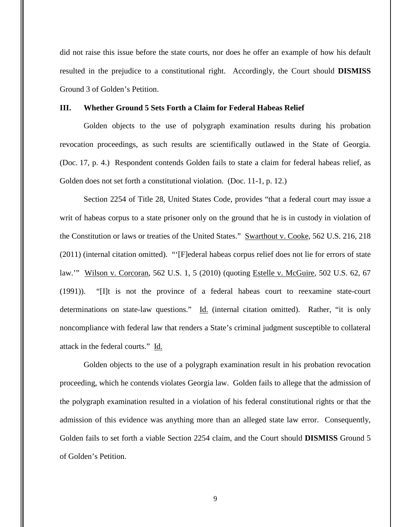did not raise this issue before the state courts, nor does he offer an example of how his default resulted in the prejudice to a constitutional right. Accordingly, the Court should **DISMISS** Ground 3 of Golden's Petition.

### **III. Whether Ground 5 Sets Forth a Claim for Federal Habeas Relief**

Golden objects to the use of polygraph examination results during his probation revocation proceedings, as such results are scientifically outlawed in the State of Georgia. (Doc. 17, p. 4.) Respondent contends Golden fails to state a claim for federal habeas relief, as Golden does not set forth a constitutional violation. (Doc. 11-1, p. 12.)

Section 2254 of Title 28, United States Code, provides "that a federal court may issue a writ of habeas corpus to a state prisoner only on the ground that he is in custody in violation of the Constitution or laws or treaties of the United States." Swarthout v. Cooke, 562 U.S. 216, 218 (2011) (internal citation omitted). "'[F]ederal habeas corpus relief does not lie for errors of state law.'" Wilson v. Corcoran, 562 U.S. 1, 5 (2010) (quoting Estelle v. McGuire, 502 U.S. 62, 67 (1991)). "[I]t is not the province of a federal habeas court to reexamine state-court determinations on state-law questions." Id. (internal citation omitted). Rather, "it is only noncompliance with federal law that renders a State's criminal judgment susceptible to collateral attack in the federal courts." Id.

Golden objects to the use of a polygraph examination result in his probation revocation proceeding, which he contends violates Georgia law. Golden fails to allege that the admission of the polygraph examination resulted in a violation of his federal constitutional rights or that the admission of this evidence was anything more than an alleged state law error. Consequently, Golden fails to set forth a viable Section 2254 claim, and the Court should **DISMISS** Ground 5 of Golden's Petition.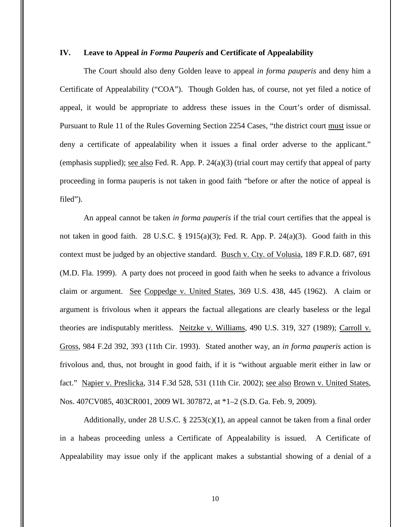# **IV. Leave to Appeal** *in Forma Pauperis* **and Certificate of Appealability**

The Court should also deny Golden leave to appeal *in forma pauperis* and deny him a Certificate of Appealability ("COA"). Though Golden has, of course, not yet filed a notice of appeal, it would be appropriate to address these issues in the Court's order of dismissal. Pursuant to Rule 11 of the Rules Governing Section 2254 Cases, "the district court must issue or deny a certificate of appealability when it issues a final order adverse to the applicant." (emphasis supplied); see also Fed. R. App. P. 24(a)(3) (trial court may certify that appeal of party proceeding in forma pauperis is not taken in good faith "before or after the notice of appeal is filed").

An appeal cannot be taken *in forma pauperis* if the trial court certifies that the appeal is not taken in good faith. 28 U.S.C. § 1915(a)(3); Fed. R. App. P. 24(a)(3). Good faith in this context must be judged by an objective standard. Busch v. Cty. of Volusia, 189 F.R.D. 687, 691 (M.D. Fla. 1999). A party does not proceed in good faith when he seeks to advance a frivolous claim or argument. See Coppedge v. United States, 369 U.S. 438, 445 (1962). A claim or argument is frivolous when it appears the factual allegations are clearly baseless or the legal theories are indisputably meritless. Neitzke v. Williams, 490 U.S. 319, 327 (1989); Carroll v. Gross, 984 F.2d 392, 393 (11th Cir. 1993). Stated another way, an *in forma pauperis* action is frivolous and, thus, not brought in good faith, if it is "without arguable merit either in law or fact." Napier v. Preslicka, 314 F.3d 528, 531 (11th Cir. 2002); <u>see also Brown v. United States</u>, Nos. 407CV085, 403CR001, 2009 WL 307872, at \*1–2 (S.D. Ga. Feb. 9, 2009).

Additionally, under 28 U.S.C. § 2253(c)(1), an appeal cannot be taken from a final order in a habeas proceeding unless a Certificate of Appealability is issued. A Certificate of Appealability may issue only if the applicant makes a substantial showing of a denial of a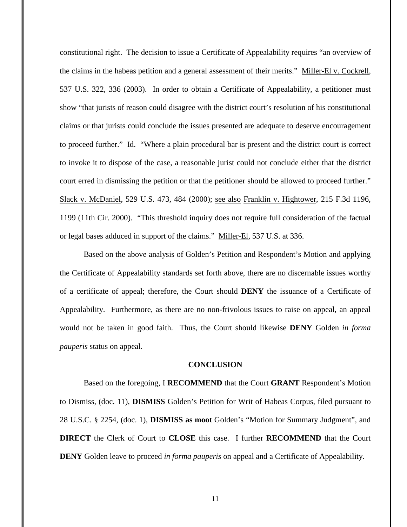constitutional right. The decision to issue a Certificate of Appealability requires "an overview of the claims in the habeas petition and a general assessment of their merits." Miller-El v. Cockrell, 537 U.S. 322, 336 (2003). In order to obtain a Certificate of Appealability, a petitioner must show "that jurists of reason could disagree with the district court's resolution of his constitutional claims or that jurists could conclude the issues presented are adequate to deserve encouragement to proceed further." Id. "Where a plain procedural bar is present and the district court is correct to invoke it to dispose of the case, a reasonable jurist could not conclude either that the district court erred in dismissing the petition or that the petitioner should be allowed to proceed further." Slack v. McDaniel, 529 U.S. 473, 484 (2000); see also Franklin v. Hightower, 215 F.3d 1196, 1199 (11th Cir. 2000). "This threshold inquiry does not require full consideration of the factual or legal bases adduced in support of the claims." Miller-El, 537 U.S. at 336.

Based on the above analysis of Golden's Petition and Respondent's Motion and applying the Certificate of Appealability standards set forth above, there are no discernable issues worthy of a certificate of appeal; therefore, the Court should **DENY** the issuance of a Certificate of Appealability. Furthermore, as there are no non-frivolous issues to raise on appeal, an appeal would not be taken in good faith. Thus, the Court should likewise **DENY** Golden *in forma pauperis* status on appeal.

#### **CONCLUSION**

Based on the foregoing, I **RECOMMEND** that the Court **GRANT** Respondent's Motion to Dismiss, (doc. 11), **DISMISS** Golden's Petition for Writ of Habeas Corpus, filed pursuant to 28 U.S.C. § 2254, (doc. 1), **DISMISS as moot** Golden's "Motion for Summary Judgment", and **DIRECT** the Clerk of Court to **CLOSE** this case. I further **RECOMMEND** that the Court **DENY** Golden leave to proceed *in forma pauperis* on appeal and a Certificate of Appealability.